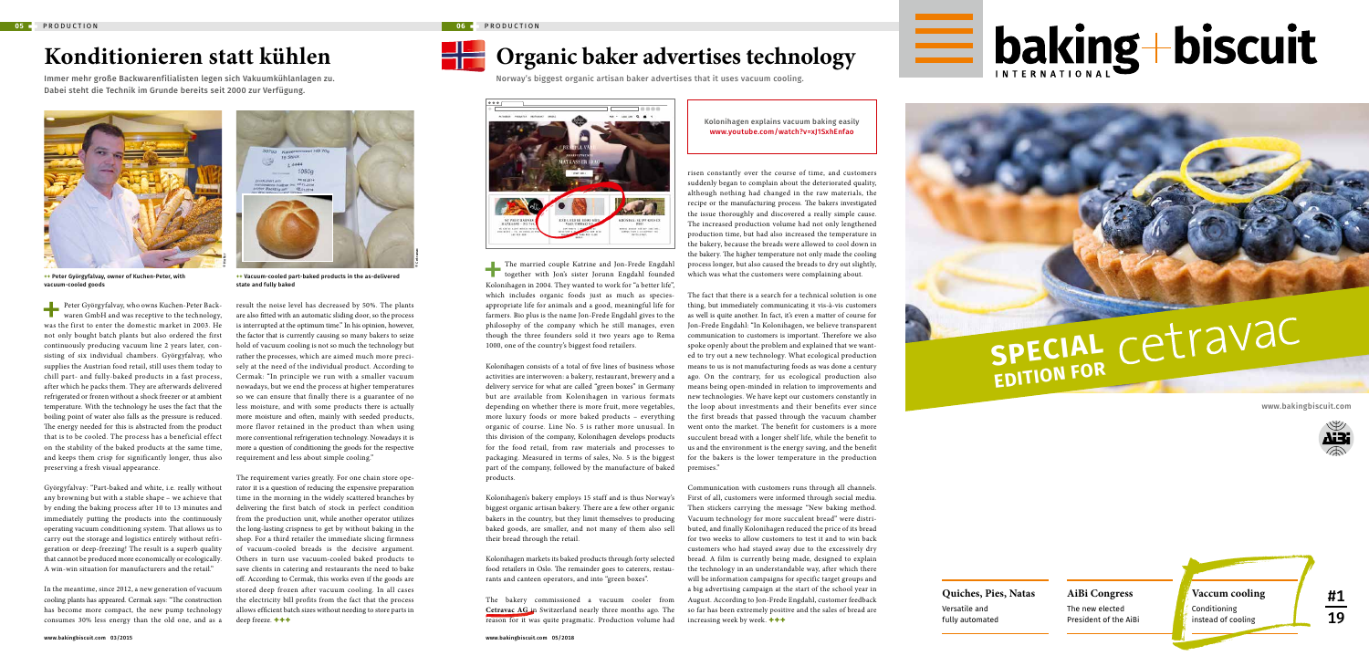#1

19

# **SPECIAL EDITION FOR**

**Example 10** baking + biscuit

The married couple Katrine and Jon-Frede Engdahl<br>together with Jon's sister Jorunn Engdahl founded<br>Kolonihagen in 2004. They wanted to work for "a better life", together with Jon's sister Jorunn Engdahl founded Kolonihagen in 2004. They wanted to work for "a better life", which includes organic foods just as much as speciesappropriate life for animals and a good, meaningful life for farmers. Bio plus is the name Jon-Frede Engdahl gives to the philosophy of the company which he still manages, even though the three founders sold it two years ago to Rema 1000, one of the country's biggest food retailers.

Kolonihagen consists of a total of five lines of business whose activities are interwoven: a bakery, restaurant, brewery and a delivery service for what are called "green boxes" in Germany but are available from Kolonihagen in various formats depending on whether there is more fruit, more vegetables, more luxury foods or more baked products – everything organic of course. Line No. 5 is rather more unusual. In this division of the company, Kolonihagen develops products for the food retail, from raw materials and processes to packaging. Measured in terms of sales, No. 5 is the biggest part of the company, followed by the manufacture of baked products.

Kolonihagen's bakery employs 15 staff and is thus Norway's biggest organic artisan bakery. There are a few other organic bakers in the country, but they limit themselves to producing baked goods, are smaller, and not many of them also sell their bread through the retail.

Kolonihagen markets its baked products through forty selected food retailers in Oslo. The remainder goes to caterers, restaurants and canteen operators, and into "green boxes".

The bakery commissioned a vacuum cooler from **Cetravac AG** in Switzerland nearly three months ago. The reason for it was quite pragmatic. Production volume had

Norway's biggest organic artisan baker advertises that it uses vacuum cooling.



risen constantly over the course of time, and customers suddenly began to complain about the deteriorated quality, although nothing had changed in the raw materials, the recipe or the manufacturing process. The bakers investigated the issue thoroughly and discovered a really simple cause. The increased production volume had not only lengthened production time, but had also increased the temperature in the bakery, because the breads were allowed to cool down in the bakery. The higher temperature not only made the cooling process longer, but also caused the breads to dry out slightly, which was what the customers were complaining about.

Peter Györgyfalvay, who owns Kuchen-Peter Back-<br>waren GmbH and was recentive to the technology waren GmbH and was receptive to the technology, was the first to enter the domestic market in 2003. He not only bought batch plants but also ordered the first continuously producing vacuum line 2 years later, consisting of six individual chambers. Györgyfalvay, who supplies the Austrian food retail, still uses them today to chill part- and fully-baked products in a fast process, after which he packs them. They are afterwards delivered refrigerated or frozen without a shock freezer or at ambient temperature. With the technology he uses the fact that the boiling point of water also falls as the pressure is reduced. The energy needed for this is abstracted from the product that is to be cooled. The process has a beneficial effect on the stability of the baked products at the same time, and keeps them crisp for significantly longer, thus also preserving a fresh visual appearance.

The fact that there is a search for a technical solution is one thing, but immediately communicating it vis-à-vis customers as well is quite another. In fact, it's even a matter of course for Jon-Frede Engdahl: "In Kolonihagen, we believe transparent communication to customers is important. Therefore we also spoke openly about the problem and explained that we wanted to try out a new technology. What ecological production means to us is not manufacturing foods as was done a century ago. On the contrary, for us ecological production also means being open-minded in relation to improvements and new technologies. We have kept our customers constantly in the loop about investments and their benefits ever since the first breads that passed through the vacuum chamber went onto the market. The benefit for customers is a more succulent bread with a longer shelf life, while the benefit to us and the environment is the energy saving, and the benefit for the bakers is the lower temperature in the production premises."

Communication with customers runs through all channels. First of all, customers were informed through social media. Then stickers carrying the message "New baking method. Vacuum technology for more succulent bread" were distributed, and finally Kolonihagen reduced the price of its bread for two weeks to allow customers to test it and to win back customers who had stayed away due to the excessively dry bread. A film is currently being made, designed to explain the technology in an understandable way, after which there will be information campaigns for specific target groups and a big advertising campaign at the start of the school year in August. According to Jon-Frede Engdahl, customer feedback so far has been extremely positive and the sales of bread are increasing week by week. **+++**

### Kolonihagen explains vacuum baking easily www.youtube.com/watch?v=xJ1SxhEnfao

## **Konditionieren statt kühlen**

Immer mehr große Backwarenfilialisten legen sich Vakuumkühlanlagen zu. Dabei steht die Technik im Grunde bereits seit 2000 zur Verfügung.

Györgyfalvay: "Part-baked and white, i.e. really without any browning but with a stable shape – we achieve that by ending the baking process after 10 to 13 minutes and immediately putting the products into the continuously operating vacuum conditioning system. That allows us to carry out the storage and logistics entirely without refrigeration or deep-freezing! The result is a superb quality that cannot be produced more economically or ecologically. A win-win situation for manufacturers and the retail."

In the meantime, since 2012, a new generation of vacuum cooling plants has appeared. Cermak says: "The construction has become more compact, the new pump technology consumes 30% less energy than the old one, and as a result the noise level has decreased by 50%. The plants are also fitted with an automatic sliding door, so the process is interrupted at the optimum time." In his opinion, however, the factor that is currently causing so many bakers to seize hold of vacuum cooling is not so much the technology but rather the processes, which are aimed much more precisely at the need of the individual product. According to Cermak: "In principle we run with a smaller vacuum nowadays, but we end the process at higher temperatures so we can ensure that finally there is a guarantee of no less moisture, and with some products there is actually more moisture and often, mainly with seeded products, more flavor retained in the product than when using more conventional refrigeration technology. Nowadays it is more a question of conditioning the goods for the respective requirement and less about simple cooling."

The requirement varies greatly. For one chain store operator it is a question of reducing the expensive preparation time in the morning in the widely scattered branches by delivering the first batch of stock in perfect condition from the production unit, while another operator utilizes the long-lasting crispness to get by without baking in the shop. For a third retailer the immediate slicing firmness of vacuum-cooled breads is the decisive argument. Others in turn use vacuum-cooled baked products to save clients in catering and restaurants the need to bake off. According to Cermak, this works even if the goods are stored deep frozen after vacuum cooling. In all cases the electricity bill profits from the fact that the process allows efficient batch sizes without needing to store parts in deep freeze. **+++**



**++** Peter Györgyfalvay, owner of Kuchen-Peter, with vacuum-cooled goods





**++** Vacuum-cooled part-baked products in the as-delivered state and fully baked

© Cetravac

# **Organic baker advertises technology**

### www.bakingbiscuit.com



### **AiBi Congress**

The new elected President of the AiBi

### **Quiches, Pies, Natas**

Versatile and fully automated

### **Vaccum cooling**

Conditioning instead of cooling